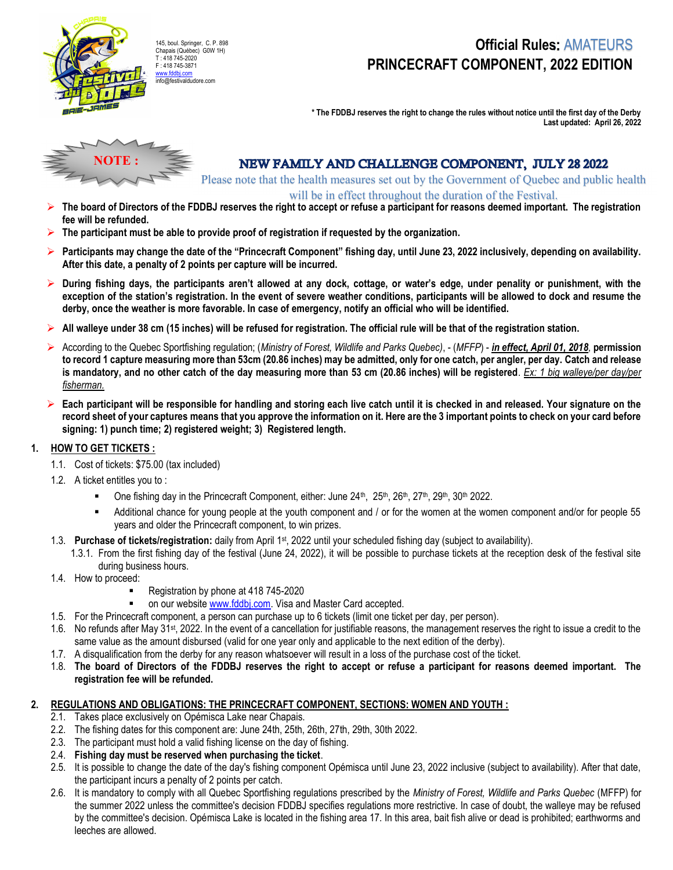

### Official Rules: AMATEURS PRINCECRAFT COMPONENT, 2022 EDITION

\* The FDDBJ reserves the right to change the rules without notice until the first day of the Derby Last updated: April 26, 2022



### NEW FAMILY AND CHALLENGE COMPONENT, JULY 28 2022

Please note that the health measures set out by the Government of Quebec and public health will be in effect throughout the duration of the Festival.

- The board of Directors of the FDDBJ reserves the right to accept or refuse a participant for reasons deemed important. The registration fee will be refunded.
- $\triangleright$  The participant must be able to provide proof of registration if requested by the organization.
- $\triangleright$  Participants may change the date of the "Princecraft Component" fishing day, until June 23, 2022 inclusively, depending on availability. After this date, a penalty of 2 points per capture will be incurred.
- $\triangleright$  During fishing days, the participants aren't allowed at any dock, cottage, or water's edge, under penality or punishment, with the exception of the station's registration. In the event of severe weather conditions, participants will be allowed to dock and resume the derby, once the weather is more favorable. In case of emergency, notify an official who will be identified.
- All walleye under 38 cm (15 inches) will be refused for registration. The official rule will be that of the registration station.
- ▶ According to the Quebec Sportfishing regulation; (Ministry of Forest, Wildlife and Parks Quebec), (MFFP) in effect, April 01, 2018, permission to record 1 capture measuring more than 53cm (20.86 inches) may be admitted, only for one catch, per angler, per day. Catch and release is mandatory, and no other catch of the day measuring more than 53 cm (20.86 inches) will be registered. Ex: 1 big walleye/per day/per fisherman.
- $\triangleright$  Each participant will be responsible for handling and storing each live catch until it is checked in and released. Your signature on the record sheet of your captures means that you approve the information on it. Here are the 3 important points to check on your card before signing: 1) punch time; 2) registered weight; 3) Registered length.

#### 1. HOW TO GET TICKETS :

- 1.1. Cost of tickets: \$75.00 (tax included)
- 1.2. A ticket entitles you to :
	- One fishing day in the Princecraft Component, either: June 24<sup>th</sup>, 25<sup>th</sup>, 26<sup>th</sup>, 27<sup>th</sup>, 29<sup>th</sup>, 30<sup>th</sup> 2022.
	- Additional chance for young people at the youth component and / or for the women at the women component and/or for people 55 years and older the Princecraft component, to win prizes.
- 1.3. Purchase of tickets/registration: daily from April 1<sup>st</sup>, 2022 until your scheduled fishing day (subject to availability).
	- 1.3.1. From the first fishing day of the festival (June 24, 2022), it will be possible to purchase tickets at the reception desk of the festival site during business hours.
- 1.4. How to proceed:
	- Registration by phone at 418 745-2020
	- on our website www.fddbj.com. Visa and Master Card accepted.
- 1.5. For the Princecraft component, a person can purchase up to 6 tickets (limit one ticket per day, per person).
- 1.6. No refunds after May 31st, 2022. In the event of a cancellation for justifiable reasons, the management reserves the right to issue a credit to the same value as the amount disbursed (valid for one year only and applicable to the next edition of the derby).
- 1.7. A disqualification from the derby for any reason whatsoever will result in a loss of the purchase cost of the ticket.
- 1.8. The board of Directors of the FDDBJ reserves the right to accept or refuse a participant for reasons deemed important. The registration fee will be refunded.

#### 2. REGULATIONS AND OBLIGATIONS: THE PRINCECRAFT COMPONENT, SECTIONS: WOMEN AND YOUTH :

- 2.1. Takes place exclusively on Opémisca Lake near Chapais.
- 2.2. The fishing dates for this component are: June 24th, 25th, 26th, 27th, 29th, 30th 2022.
- 2.3. The participant must hold a valid fishing license on the day of fishing.
- 2.4. Fishing day must be reserved when purchasing the ticket.
- 2.5. It is possible to change the date of the day's fishing component Opémisca until June 23, 2022 inclusive (subject to availability). After that date, the participant incurs a penalty of 2 points per catch.
- 2.6. It is mandatory to comply with all Quebec Sportfishing regulations prescribed by the Ministry of Forest, Wildlife and Parks Quebec (MFFP) for the summer 2022 unless the committee's decision FDDBJ specifies regulations more restrictive. In case of doubt, the walleye may be refused by the committee's decision. Opémisca Lake is located in the fishing area 17. In this area, bait fish alive or dead is prohibited; earthworms and leeches are allowed.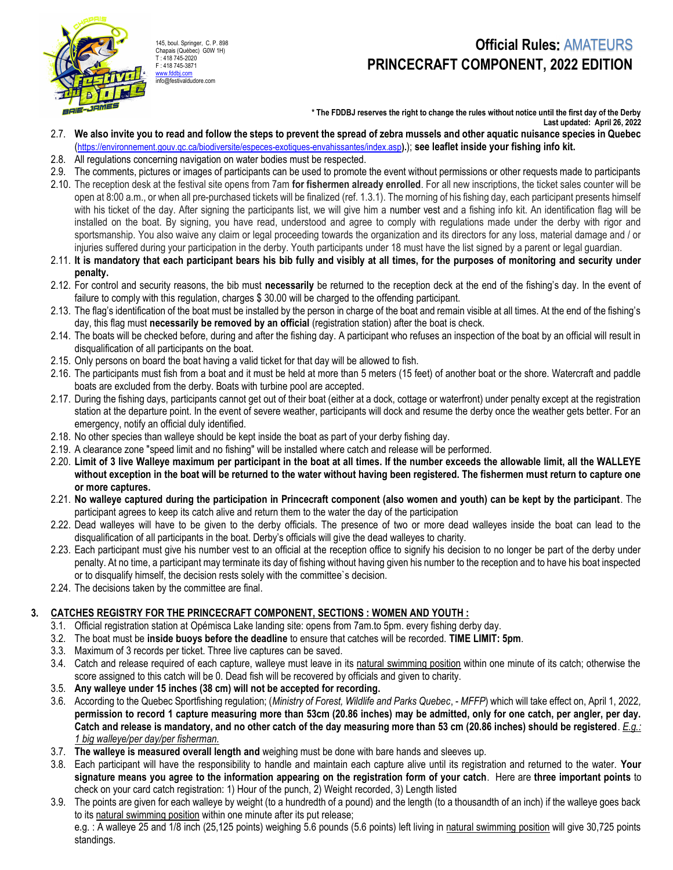

145, boul. Springer, C. P. 898 Chapais (Québec) G0W 1H) T : 418 745-2020 F : 418 745-3871 www.fddbj.com info@festivaldudore.com

### Official Rules: AMATEURS PRINCECRAFT COMPONENT, 2022 EDITION

\* The FDDBJ reserves the right to change the rules without notice until the first day of the Derby Last updated: April 26, 2022

- 2.7. We also invite you to read and follow the steps to prevent the spread of zebra mussels and other aquatic nuisance species in Quebec (https://environnement.gouv.qc.ca/biodiversite/especes-exotiques-envahissantes/index.asp).); see leaflet inside your fishing info kit.
- 2.8. All regulations concerning navigation on water bodies must be respected.
- 2.9. The comments, pictures or images of participants can be used to promote the event without permissions or other requests made to participants
- 2.10. The reception desk at the festival site opens from 7am for fishermen already enrolled. For all new inscriptions, the ticket sales counter will be open at 8:00 a.m., or when all pre-purchased tickets will be finalized (ref. 1.3.1). The morning of his fishing day, each participant presents himself with his ticket of the day. After signing the participants list, we will give him a number vest and a fishing info kit. An identification flag will be installed on the boat. By signing, you have read, understood and agree to comply with regulations made under the derby with rigor and sportsmanship. You also waive any claim or legal proceeding towards the organization and its directors for any loss, material damage and / or injuries suffered during your participation in the derby. Youth participants under 18 must have the list signed by a parent or legal guardian.
- 2.11. It is mandatory that each participant bears his bib fully and visibly at all times, for the purposes of monitoring and security under penalty.
- 2.12. For control and security reasons, the bib must necessarily be returned to the reception deck at the end of the fishing's day. In the event of failure to comply with this regulation, charges \$ 30.00 will be charged to the offending participant.
- 2.13. The flag's identification of the boat must be installed by the person in charge of the boat and remain visible at all times. At the end of the fishing's day, this flag must necessarily be removed by an official (registration station) after the boat is check.
- 2.14. The boats will be checked before, during and after the fishing day. A participant who refuses an inspection of the boat by an official will result in disqualification of all participants on the boat.
- 2.15. Only persons on board the boat having a valid ticket for that day will be allowed to fish.
- 2.16. The participants must fish from a boat and it must be held at more than 5 meters (15 feet) of another boat or the shore. Watercraft and paddle boats are excluded from the derby. Boats with turbine pool are accepted.
- 2.17. During the fishing days, participants cannot get out of their boat (either at a dock, cottage or waterfront) under penalty except at the registration station at the departure point. In the event of severe weather, participants will dock and resume the derby once the weather gets better. For an emergency, notify an official duly identified.
- 2.18. No other species than walleye should be kept inside the boat as part of your derby fishing day.
- 2.19. A clearance zone "speed limit and no fishing" will be installed where catch and release will be performed.
- 2.20. Limit of 3 live Walleye maximum per participant in the boat at all times. If the number exceeds the allowable limit, all the WALLEYE without exception in the boat will be returned to the water without having been registered. The fishermen must return to capture one or more captures.
- 2.21. No walleye captured during the participation in Princecraft component (also women and youth) can be kept by the participant. The participant agrees to keep its catch alive and return them to the water the day of the participation
- 2.22. Dead walleyes will have to be given to the derby officials. The presence of two or more dead walleyes inside the boat can lead to the disqualification of all participants in the boat. Derby's officials will give the dead walleyes to charity.
- 2.23. Each participant must give his number vest to an official at the reception office to signify his decision to no longer be part of the derby under penalty. At no time, a participant may terminate its day of fishing without having given his number to the reception and to have his boat inspected or to disqualify himself, the decision rests solely with the committee`s decision.
- 2.24. The decisions taken by the committee are final.

#### 3. CATCHES REGISTRY FOR THE PRINCECRAFT COMPONENT, SECTIONS : WOMEN AND YOUTH :

- 3.1. Official registration station at Opémisca Lake landing site: opens from 7am.to 5pm. every fishing derby day.
- 3.2. The boat must be inside buoys before the deadline to ensure that catches will be recorded. TIME LIMIT: 5pm.
- 3.3. Maximum of 3 records per ticket. Three live captures can be saved.
- 3.4. Catch and release required of each capture, walleye must leave in its natural swimming position within one minute of its catch; otherwise the score assigned to this catch will be 0. Dead fish will be recovered by officials and given to charity.
- 3.5. Any walleye under 15 inches (38 cm) will not be accepted for recording.
- 3.6. According to the Quebec Sportfishing regulation; (Ministry of Forest, Wildlife and Parks Quebec, MFFP) which will take effect on, April 1, 2022, permission to record 1 capture measuring more than 53cm (20.86 inches) may be admitted, only for one catch, per angler, per day. Catch and release is mandatory, and no other catch of the day measuring more than 53 cm (20.86 inches) should be registered. E.g.: 1 big walleye/per day/per fisherman.
- 3.7. The walleye is measured overall length and weighing must be done with bare hands and sleeves up.
- 3.8. Each participant will have the responsibility to handle and maintain each capture alive until its registration and returned to the water. Your signature means you agree to the information appearing on the registration form of your catch. Here are three important points to check on your card catch registration: 1) Hour of the punch, 2) Weight recorded, 3) Length listed
- 3.9. The points are given for each walleye by weight (to a hundredth of a pound) and the length (to a thousandth of an inch) if the walleye goes back to its natural swimming position within one minute after its put release; e.g. : A walleye 25 and 1/8 inch (25,125 points) weighing 5.6 pounds (5.6 points) left living in natural swimming position will give 30,725 points

standings.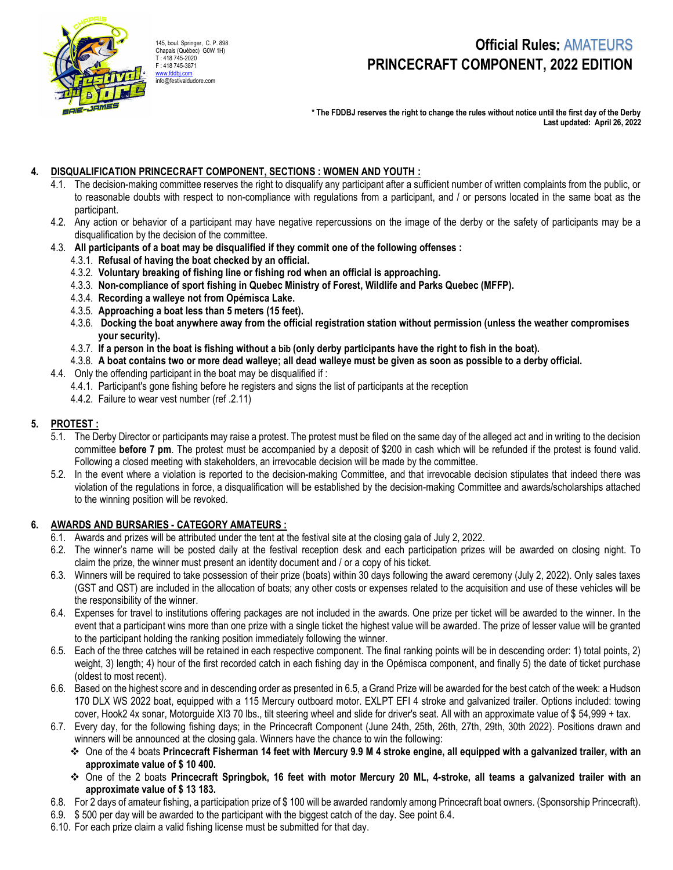

145, boul. Springer, C. P. 898 Chapais (Québec) G0W 1H) T : 418 745-2020 F : 418 745-3871 www.fddbj.com

# Official Rules: AMATEURS PRINCECRAFT COMPONENT, 2022 EDITION

\* The FDDBJ reserves the right to change the rules without notice until the first day of the Derby Last updated: April 26, 2022

#### 4. DISQUALIFICATION PRINCECRAFT COMPONENT, SECTIONS : WOMEN AND YOUTH :

- 4.1. The decision-making committee reserves the right to disqualify any participant after a sufficient number of written complaints from the public, or to reasonable doubts with respect to non-compliance with regulations from a participant, and / or persons located in the same boat as the participant.
- 4.2. Any action or behavior of a participant may have negative repercussions on the image of the derby or the safety of participants may be a disqualification by the decision of the committee.
- 4.3. All participants of a boat may be disqualified if they commit one of the following offenses :
	- 4.3.1. Refusal of having the boat checked by an official.
	- 4.3.2. Voluntary breaking of fishing line or fishing rod when an official is approaching.
	- 4.3.3. Non-compliance of sport fishing in Quebec Ministry of Forest, Wildlife and Parks Quebec (MFFP).
	- 4.3.4. Recording a walleye not from Opémisca Lake.
	- 4.3.5. Approaching a boat less than 5 meters (15 feet).
	- 4.3.6. Docking the boat anywhere away from the official registration station without permission (unless the weather compromises your security).
	- 4.3.7. If a person in the boat is fishing without a bib (only derby participants have the right to fish in the boat).
	- 4.3.8. A boat contains two or more dead walleye; all dead walleye must be given as soon as possible to a derby official.
- 4.4. Only the offending participant in the boat may be disqualified if :
	- 4.4.1. Participant's gone fishing before he registers and signs the list of participants at the reception
	- 4.4.2. Failure to wear vest number (ref .2.11)

### 5. PROTEST :

- 5.1. The Derby Director or participants may raise a protest. The protest must be filed on the same day of the alleged act and in writing to the decision committee before 7 pm. The protest must be accompanied by a deposit of \$200 in cash which will be refunded if the protest is found valid. Following a closed meeting with stakeholders, an irrevocable decision will be made by the committee.
- 5.2. In the event where a violation is reported to the decision-making Committee, and that irrevocable decision stipulates that indeed there was violation of the regulations in force, a disqualification will be established by the decision-making Committee and awards/scholarships attached to the winning position will be revoked.

#### 6. AWARDS AND BURSARIES - CATEGORY AMATEURS :

- 6.1. Awards and prizes will be attributed under the tent at the festival site at the closing gala of July 2, 2022.
- 6.2. The winner's name will be posted daily at the festival reception desk and each participation prizes will be awarded on closing night. To claim the prize, the winner must present an identity document and / or a copy of his ticket.
- 6.3. Winners will be required to take possession of their prize (boats) within 30 days following the award ceremony (July 2, 2022). Only sales taxes (GST and QST) are included in the allocation of boats; any other costs or expenses related to the acquisition and use of these vehicles will be the responsibility of the winner.
- 6.4. Expenses for travel to institutions offering packages are not included in the awards. One prize per ticket will be awarded to the winner. In the event that a participant wins more than one prize with a single ticket the highest value will be awarded. The prize of lesser value will be granted to the participant holding the ranking position immediately following the winner.
- 6.5. Each of the three catches will be retained in each respective component. The final ranking points will be in descending order: 1) total points, 2) weight, 3) length; 4) hour of the first recorded catch in each fishing day in the Opémisca component, and finally 5) the date of ticket purchase (oldest to most recent).
- 6.6. Based on the highest score and in descending order as presented in 6.5, a Grand Prize will be awarded for the best catch of the week: a Hudson 170 DLX WS 2022 boat, equipped with a 115 Mercury outboard motor. EXLPT EFI 4 stroke and galvanized trailer. Options included: towing cover, Hook2 4x sonar, Motorguide XI3 70 lbs., tilt steering wheel and slide for driver's seat. All with an approximate value of \$ 54,999 + tax.
- 6.7. Every day, for the following fishing days; in the Princecraft Component (June 24th, 25th, 26th, 27th, 29th, 30th 2022). Positions drawn and winners will be announced at the closing gala. Winners have the chance to win the following:
	- $\div$  One of the 4 boats Princecraft Fisherman 14 feet with Mercury 9.9 M 4 stroke engine, all equipped with a galvanized trailer, with an approximate value of \$ 10 400.
	- One of the 2 boats Princecraft Springbok, 16 feet with motor Mercury 20 ML, 4-stroke, all teams a galvanized trailer with an approximate value of \$ 13 183.
- 6.8. For 2 days of amateur fishing, a participation prize of \$ 100 will be awarded randomly among Princecraft boat owners. (Sponsorship Princecraft).
- 6.9. \$ 500 per day will be awarded to the participant with the biggest catch of the day. See point 6.4.
- 6.10. For each prize claim a valid fishing license must be submitted for that day.